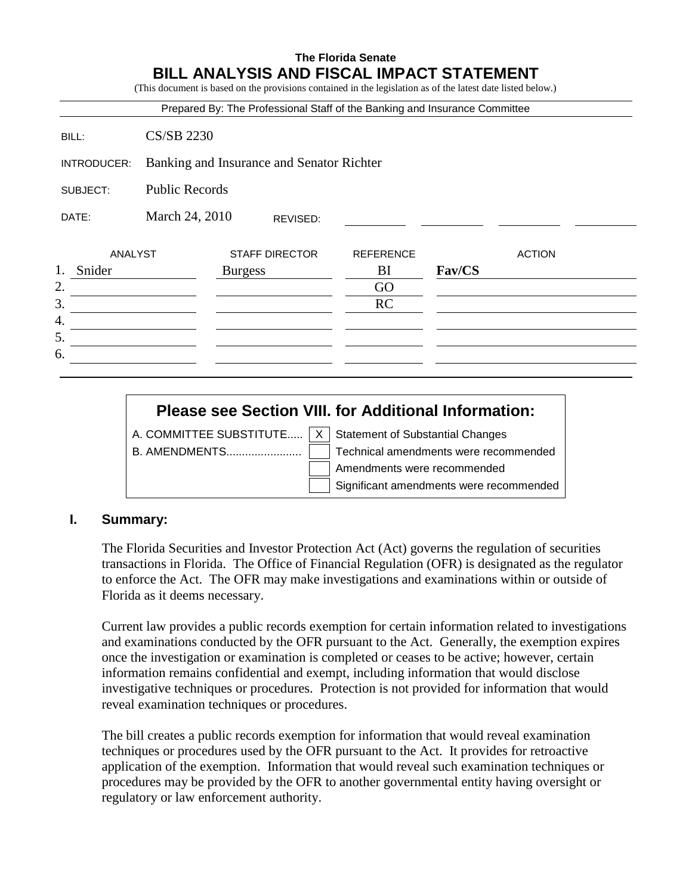## **The Florida Senate BILL ANALYSIS AND FISCAL IMPACT STATEMENT**

(This document is based on the provisions contained in the legislation as of the latest date listed below.)

| <b>CS/SB 2230</b> |          |                                                                                    |                                           |               |                                                                            |
|-------------------|----------|------------------------------------------------------------------------------------|-------------------------------------------|---------------|----------------------------------------------------------------------------|
|                   |          |                                                                                    |                                           |               |                                                                            |
|                   |          |                                                                                    |                                           |               |                                                                            |
|                   | REVISED: |                                                                                    |                                           |               |                                                                            |
| <b>ANALYST</b>    |          | <b>REFERENCE</b>                                                                   |                                           | <b>ACTION</b> |                                                                            |
|                   |          | BI                                                                                 | Fav/CS                                    |               |                                                                            |
|                   |          | GO                                                                                 |                                           |               |                                                                            |
|                   |          | RC                                                                                 |                                           |               |                                                                            |
|                   |          |                                                                                    |                                           |               |                                                                            |
|                   |          |                                                                                    |                                           |               |                                                                            |
|                   |          |                                                                                    |                                           |               |                                                                            |
|                   |          | <b>Public Records</b><br>March 24, 2010<br><b>STAFF DIRECTOR</b><br><b>Burgess</b> | Banking and Insurance and Senator Richter |               | Prepared By: The Professional Staff of the Banking and Insurance Committee |

# **Please see Section VIII. for Additional Information:**

A. COMMITTEE SUBSTITUTE.....  $X \mid$  Statement of Substantial Changes

B. AMENDMENTS........................ Technical amendments were recommended Amendments were recommended Significant amendments were recommended

#### **I. Summary:**

The Florida Securities and Investor Protection Act (Act) governs the regulation of securities transactions in Florida. The Office of Financial Regulation (OFR) is designated as the regulator to enforce the Act. The OFR may make investigations and examinations within or outside of Florida as it deems necessary.

Current law provides a public records exemption for certain information related to investigations and examinations conducted by the OFR pursuant to the Act. Generally, the exemption expires once the investigation or examination is completed or ceases to be active; however, certain information remains confidential and exempt, including information that would disclose investigative techniques or procedures. Protection is not provided for information that would reveal examination techniques or procedures.

The bill creates a public records exemption for information that would reveal examination techniques or procedures used by the OFR pursuant to the Act. It provides for retroactive application of the exemption. Information that would reveal such examination techniques or procedures may be provided by the OFR to another governmental entity having oversight or regulatory or law enforcement authority.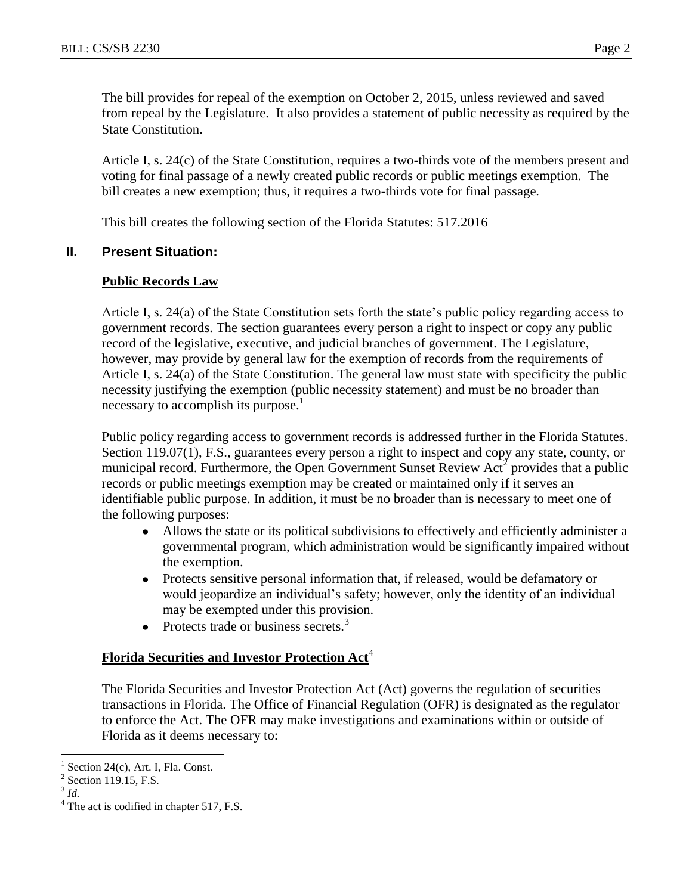The bill provides for repeal of the exemption on October 2, 2015, unless reviewed and saved from repeal by the Legislature. It also provides a statement of public necessity as required by the State Constitution.

Article I, s. 24(c) of the State Constitution, requires a two-thirds vote of the members present and voting for final passage of a newly created public records or public meetings exemption. The bill creates a new exemption; thus, it requires a two-thirds vote for final passage.

This bill creates the following section of the Florida Statutes: 517.2016

#### **II. Present Situation:**

#### **Public Records Law**

Article I, s. 24(a) of the State Constitution sets forth the state's public policy regarding access to government records. The section guarantees every person a right to inspect or copy any public record of the legislative, executive, and judicial branches of government. The Legislature, however, may provide by general law for the exemption of records from the requirements of Article I, s. 24(a) of the State Constitution. The general law must state with specificity the public necessity justifying the exemption (public necessity statement) and must be no broader than necessary to accomplish its purpose.<sup>1</sup>

Public policy regarding access to government records is addressed further in the Florida Statutes. Section 119.07(1), F.S., guarantees every person a right to inspect and copy any state, county, or municipal record. Furthermore, the Open Government Sunset Review  $Act<sup>2</sup>$  provides that a public records or public meetings exemption may be created or maintained only if it serves an identifiable public purpose. In addition, it must be no broader than is necessary to meet one of the following purposes:

- $\bullet$ Allows the state or its political subdivisions to effectively and efficiently administer a governmental program, which administration would be significantly impaired without the exemption.
- $\bullet$ Protects sensitive personal information that, if released, would be defamatory or would jeopardize an individual's safety; however, only the identity of an individual may be exempted under this provision.
- Protects trade or business secrets.<sup>3</sup>  $\bullet$

### **Florida Securities and Investor Protection Act**<sup>4</sup>

The Florida Securities and Investor Protection Act (Act) governs the regulation of securities transactions in Florida. The Office of Financial Regulation (OFR) is designated as the regulator to enforce the Act. The OFR may make investigations and examinations within or outside of Florida as it deems necessary to:

 $\overline{a}$ 

<sup>1</sup> Section 24(c), Art. I, Fla. Const.

 $<sup>2</sup>$  Section 119.15, F.S.</sup>

<sup>3</sup> *Id.*

 $<sup>4</sup>$  The act is codified in chapter 517, F.S.</sup>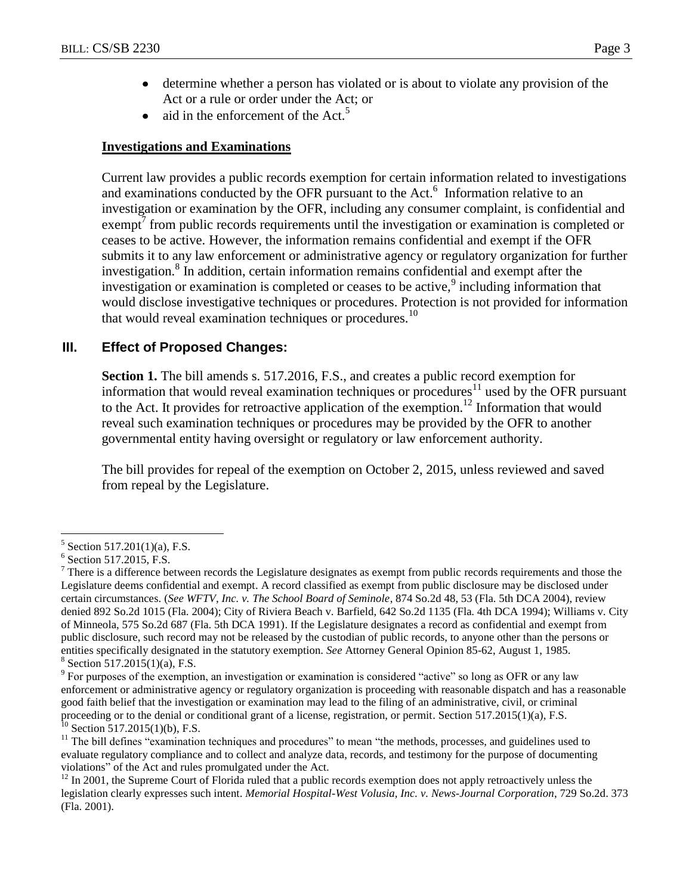- determine whether a person has violated or is about to violate any provision of the  $\bullet$ Act or a rule or order under the Act; or
- aid in the enforcement of the Act.<sup>5</sup>  $\bullet$

#### **Investigations and Examinations**

Current law provides a public records exemption for certain information related to investigations and examinations conducted by the OFR pursuant to the Act.<sup>6</sup> Information relative to an investigation or examination by the OFR, including any consumer complaint, is confidential and  $e^{\frac{1}{2}}$  from public records requirements until the investigation or examination is completed or ceases to be active. However, the information remains confidential and exempt if the OFR submits it to any law enforcement or administrative agency or regulatory organization for further investigation.<sup>8</sup> In addition, certain information remains confidential and exempt after the investigation or examination is completed or ceases to be active, $9$  including information that would disclose investigative techniques or procedures. Protection is not provided for information that would reveal examination techniques or procedures.<sup>10</sup>

### **III. Effect of Proposed Changes:**

Section 1. The bill amends s. 517.2016, F.S., and creates a public record exemption for information that would reveal examination techniques or procedures<sup>11</sup> used by the OFR pursuant to the Act. It provides for retroactive application of the exemption.<sup>12</sup> Information that would reveal such examination techniques or procedures may be provided by the OFR to another governmental entity having oversight or regulatory or law enforcement authority.

The bill provides for repeal of the exemption on October 2, 2015, unless reviewed and saved from repeal by the Legislature.

 $\overline{a}$ 

<sup>9</sup> For purposes of the exemption, an investigation or examination is considered "active" so long as OFR or any law enforcement or administrative agency or regulatory organization is proceeding with reasonable dispatch and has a reasonable good faith belief that the investigation or examination may lead to the filing of an administrative, civil, or criminal proceeding or to the denial or conditional grant of a license, registration, or permit. Section 517.2015(1)(a), F.S.  $^{10}$  Section 517.2015(1)(b), F.S.

 $11$  The bill defines "examination techniques and procedures" to mean "the methods, processes, and guidelines used to evaluate regulatory compliance and to collect and analyze data, records, and testimony for the purpose of documenting violations" of the Act and rules promulgated under the Act.

<sup>5</sup> Section 517.201(1)(a), F.S.

<sup>6</sup> Section 517.2015, F.S.

 $<sup>7</sup>$  There is a difference between records the Legislature designates as exempt from public records requirements and those the</sup> Legislature deems confidential and exempt. A record classified as exempt from public disclosure may be disclosed under certain circumstances. (*See WFTV, Inc. v. The School Board of Seminole*, 874 So.2d 48, 53 (Fla. 5th DCA 2004), review denied 892 So.2d 1015 (Fla. 2004); City of Riviera Beach v. Barfield, 642 So.2d 1135 (Fla. 4th DCA 1994); Williams v. City of Minneola, 575 So.2d 687 (Fla. 5th DCA 1991). If the Legislature designates a record as confidential and exempt from public disclosure, such record may not be released by the custodian of public records, to anyone other than the persons or entities specifically designated in the statutory exemption. *See* Attorney General Opinion 85-62, August 1, 1985.  $8$  Section 517.2015(1)(a), F.S.

 $12$  In 2001, the Supreme Court of Florida ruled that a public records exemption does not apply retroactively unless the legislation clearly expresses such intent. *Memorial Hospital-West Volusia, Inc. v. News-Journal Corporation*, 729 So.2d. 373 (Fla. 2001).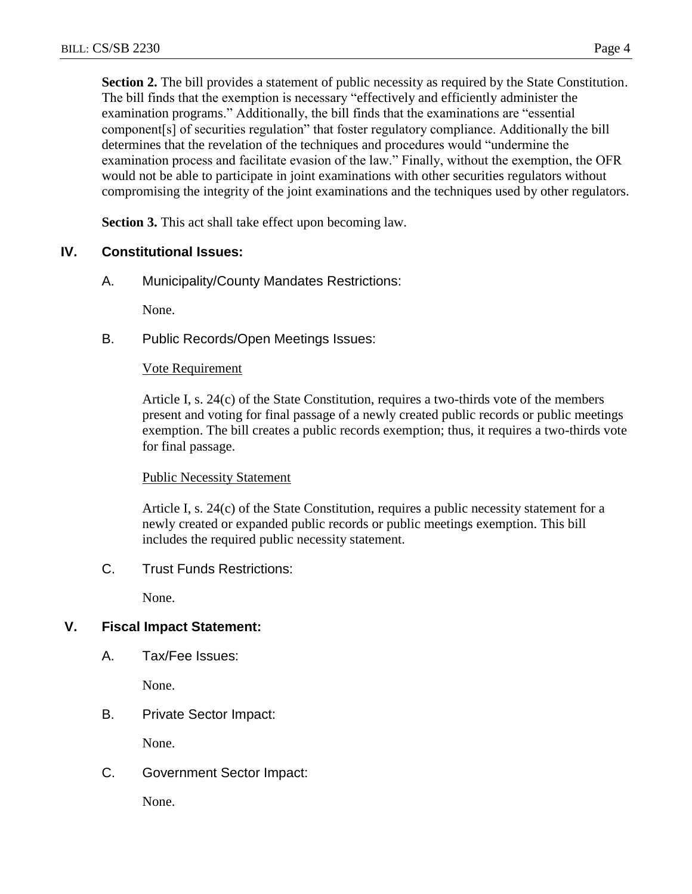**Section 2.** The bill provides a statement of public necessity as required by the State Constitution. The bill finds that the exemption is necessary "effectively and efficiently administer the examination programs." Additionally, the bill finds that the examinations are "essential component[s] of securities regulation" that foster regulatory compliance. Additionally the bill determines that the revelation of the techniques and procedures would "undermine the examination process and facilitate evasion of the law." Finally, without the exemption, the OFR would not be able to participate in joint examinations with other securities regulators without compromising the integrity of the joint examinations and the techniques used by other regulators.

**Section 3.** This act shall take effect upon becoming law.

### **IV. Constitutional Issues:**

A. Municipality/County Mandates Restrictions:

None.

B. Public Records/Open Meetings Issues:

#### Vote Requirement

Article I, s. 24(c) of the State Constitution, requires a two-thirds vote of the members present and voting for final passage of a newly created public records or public meetings exemption. The bill creates a public records exemption; thus, it requires a two-thirds vote for final passage.

#### Public Necessity Statement

Article I, s. 24(c) of the State Constitution, requires a public necessity statement for a newly created or expanded public records or public meetings exemption. This bill includes the required public necessity statement.

C. Trust Funds Restrictions:

None.

### **V. Fiscal Impact Statement:**

A. Tax/Fee Issues:

None.

B. Private Sector Impact:

None.

C. Government Sector Impact:

None.